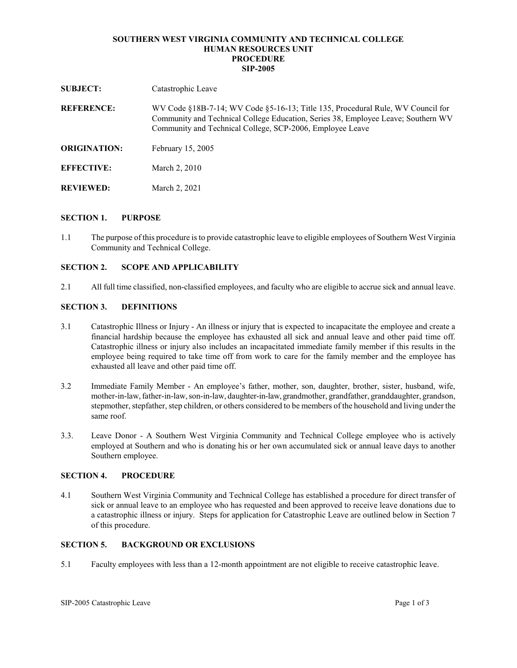#### **SOUTHERN WEST VIRGINIA COMMUNITY AND TECHNICAL COLLEGE HUMAN RESOURCES UNIT PROCEDURE SIP-2005**

| <b>SUBJECT:</b>     | Catastrophic Leave                                                                                                                                                                                                                |
|---------------------|-----------------------------------------------------------------------------------------------------------------------------------------------------------------------------------------------------------------------------------|
| <b>REFERENCE:</b>   | WV Code §18B-7-14; WV Code §5-16-13; Title 135, Procedural Rule, WV Council for<br>Community and Technical College Education, Series 38, Employee Leave; Southern WV<br>Community and Technical College, SCP-2006, Employee Leave |
| <b>ORIGINATION:</b> | February 15, 2005                                                                                                                                                                                                                 |
| <b>EFFECTIVE:</b>   | March 2, 2010                                                                                                                                                                                                                     |
| <b>REVIEWED:</b>    | March 2, 2021                                                                                                                                                                                                                     |

#### **SECTION 1. PURPOSE**

1.1 The purpose of this procedure is to provide catastrophic leave to eligible employees of Southern West Virginia Community and Technical College.

#### **SECTION 2. SCOPE AND APPLICABILITY**

2.1 All full time classified, non-classified employees, and faculty who are eligible to accrue sick and annual leave.

# **SECTION 3. DEFINITIONS**

- 3.1 Catastrophic Illness or Injury An illness or injury that is expected to incapacitate the employee and create a financial hardship because the employee has exhausted all sick and annual leave and other paid time off. Catastrophic illness or injury also includes an incapacitated immediate family member if this results in the employee being required to take time off from work to care for the family member and the employee has exhausted all leave and other paid time off.
- 3.2 Immediate Family Member An employee's father, mother, son, daughter, brother, sister, husband, wife, mother-in-law, father-in-law, son-in-law, daughter-in-law, grandmother, grandfather, granddaughter, grandson, stepmother, stepfather, step children, or others considered to be members of the household and living under the same roof.
- 3.3. Leave Donor A Southern West Virginia Community and Technical College employee who is actively employed at Southern and who is donating his or her own accumulated sick or annual leave days to another Southern employee.

## **SECTION 4. PROCEDURE**

4.1 Southern West Virginia Community and Technical College has established a procedure for direct transfer of sick or annual leave to an employee who has requested and been approved to receive leave donations due to a catastrophic illness or injury. Steps for application for Catastrophic Leave are outlined below in Section 7 of this procedure.

## **SECTION 5. BACKGROUND OR EXCLUSIONS**

5.1 Faculty employees with less than a 12-month appointment are not eligible to receive catastrophic leave.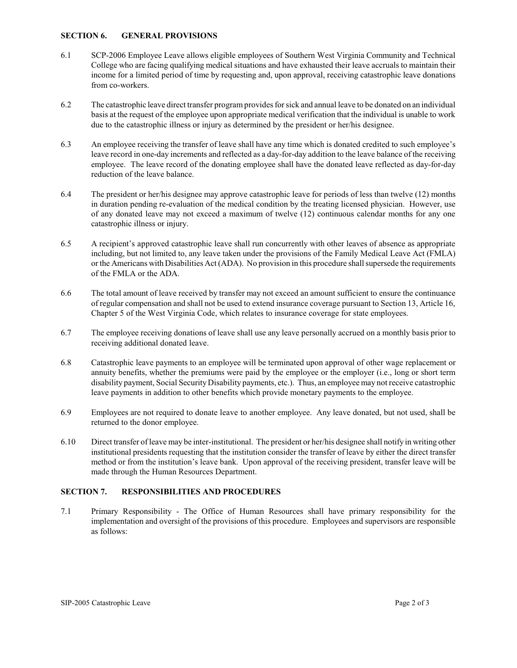#### **SECTION 6. GENERAL PROVISIONS**

- 6.1 SCP-2006 Employee Leave allows eligible employees of Southern West Virginia Community and Technical College who are facing qualifying medical situations and have exhausted their leave accruals to maintain their income for a limited period of time by requesting and, upon approval, receiving catastrophic leave donations from co-workers.
- 6.2 The catastrophic leave direct transfer program provides for sick and annual leave to be donated on an individual basis at the request of the employee upon appropriate medical verification that the individual is unable to work due to the catastrophic illness or injury as determined by the president or her/his designee.
- 6.3 An employee receiving the transfer of leave shall have any time which is donated credited to such employee's leave record in one-day increments and reflected as a day-for-day addition to the leave balance of the receiving employee. The leave record of the donating employee shall have the donated leave reflected as day-for-day reduction of the leave balance.
- 6.4 The president or her/his designee may approve catastrophic leave for periods of less than twelve (12) months in duration pending re-evaluation of the medical condition by the treating licensed physician. However, use of any donated leave may not exceed a maximum of twelve (12) continuous calendar months for any one catastrophic illness or injury.
- 6.5 A recipient's approved catastrophic leave shall run concurrently with other leaves of absence as appropriate including, but not limited to, any leave taken under the provisions of the Family Medical Leave Act (FMLA) or the Americans with Disabilities Act (ADA). No provision in this procedure shall supersede the requirements of the FMLA or the ADA.
- 6.6 The total amount of leave received by transfer may not exceed an amount sufficient to ensure the continuance of regular compensation and shall not be used to extend insurance coverage pursuant to Section 13, Article 16, Chapter 5 of the West Virginia Code, which relates to insurance coverage for state employees.
- 6.7 The employee receiving donations of leave shall use any leave personally accrued on a monthly basis prior to receiving additional donated leave.
- 6.8 Catastrophic leave payments to an employee will be terminated upon approval of other wage replacement or annuity benefits, whether the premiums were paid by the employee or the employer (i.e., long or short term disability payment, Social Security Disability payments, etc.). Thus, an employee may not receive catastrophic leave payments in addition to other benefits which provide monetary payments to the employee.
- 6.9 Employees are not required to donate leave to another employee. Any leave donated, but not used, shall be returned to the donor employee.
- 6.10 Direct transfer ofleave may be inter-institutional. The president or her/his designee shall notify in writing other institutional presidents requesting that the institution consider the transfer of leave by either the direct transfer method or from the institution's leave bank. Upon approval of the receiving president, transfer leave will be made through the Human Resources Department.

## **SECTION 7. RESPONSIBILITIES AND PROCEDURES**

7.1 Primary Responsibility - The Office of Human Resources shall have primary responsibility for the implementation and oversight of the provisions of this procedure. Employees and supervisors are responsible as follows: